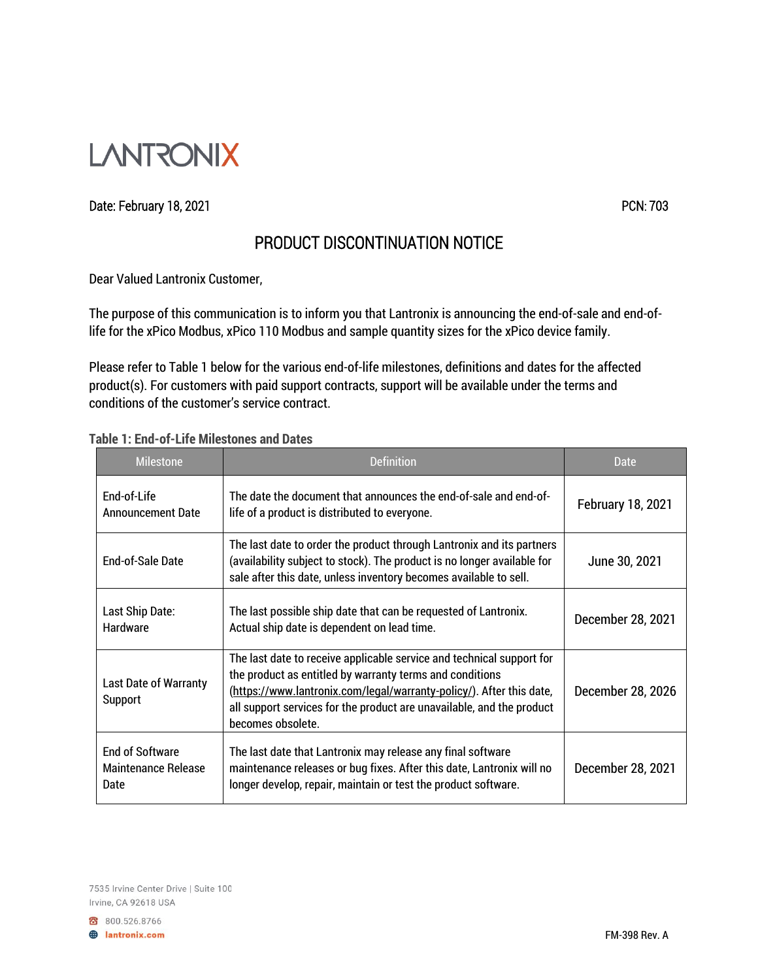

## Date: February 18, 2021 **PCN:** 703

## PRODUCT DISCONTINUATION NOTICE

Dear Valued Lantronix Customer,

The purpose of this communication is to inform you that Lantronix is announcing the end-of-sale and end-oflife for the xPico Modbus, xPico 110 Modbus and sample quantity sizes for the xPico device family.

Please refer to Table 1 below for the various end-of-life milestones, definitions and dates for the affected product(s). For customers with paid support contracts, support will be available under the terms and conditions of the customer's service contract.

## **Table 1: End-of-Life Milestones and Dates**

| <b>Milestone</b>                                             | Definition                                                                                                                                                                                                                                                                                              | Date                     |
|--------------------------------------------------------------|---------------------------------------------------------------------------------------------------------------------------------------------------------------------------------------------------------------------------------------------------------------------------------------------------------|--------------------------|
| End-of-Life<br><b>Announcement Date</b>                      | The date the document that announces the end-of-sale and end-of-<br>life of a product is distributed to everyone.                                                                                                                                                                                       | <b>February 18, 2021</b> |
| End-of-Sale Date                                             | The last date to order the product through Lantronix and its partners<br>(availability subject to stock). The product is no longer available for<br>sale after this date, unless inventory becomes available to sell.                                                                                   | June 30, 2021            |
| Last Ship Date:<br><b>Hardware</b>                           | The last possible ship date that can be requested of Lantronix.<br>Actual ship date is dependent on lead time.                                                                                                                                                                                          | December 28, 2021        |
| <b>Last Date of Warranty</b><br>Support                      | The last date to receive applicable service and technical support for<br>the product as entitled by warranty terms and conditions<br>(https://www.lantronix.com/legal/warranty-policy/). After this date,<br>all support services for the product are unavailable, and the product<br>becomes obsolete. | December 28, 2026        |
| <b>End of Software</b><br><b>Maintenance Release</b><br>Date | The last date that Lantronix may release any final software<br>maintenance releases or bug fixes. After this date, Lantronix will no<br>longer develop, repair, maintain or test the product software.                                                                                                  | December 28, 2021        |

800.526.8766 **B** lantronix.com